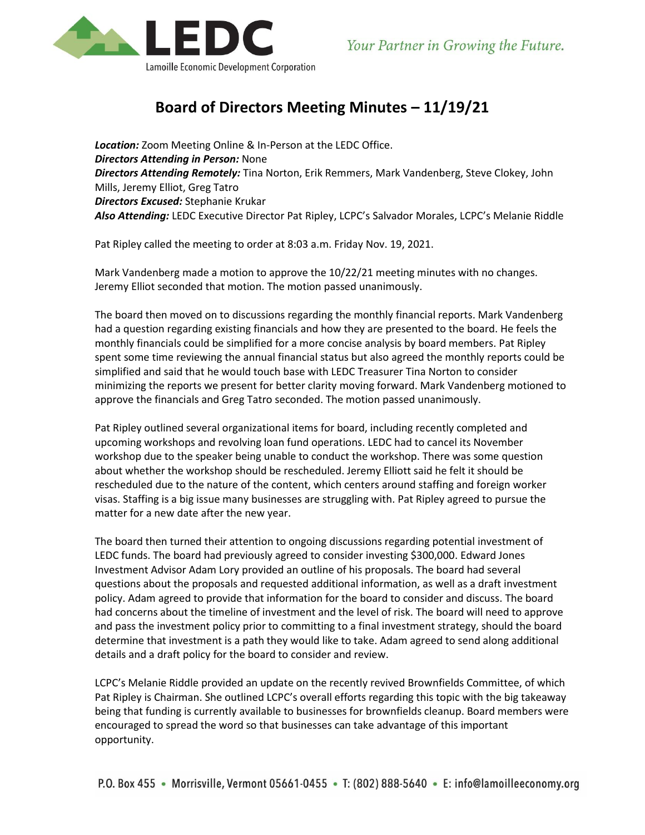

## **Board of Directors Meeting Minutes – 11/19/21**

*Location:* Zoom Meeting Online & In-Person at the LEDC Office. *Directors Attending in Person:* None *Directors Attending Remotely:* Tina Norton, Erik Remmers, Mark Vandenberg, Steve Clokey, John Mills, Jeremy Elliot, Greg Tatro *Directors Excused:* Stephanie Krukar *Also Attending:* LEDC Executive Director Pat Ripley, LCPC's Salvador Morales, LCPC's Melanie Riddle

Pat Ripley called the meeting to order at 8:03 a.m. Friday Nov. 19, 2021.

Mark Vandenberg made a motion to approve the 10/22/21 meeting minutes with no changes. Jeremy Elliot seconded that motion. The motion passed unanimously.

The board then moved on to discussions regarding the monthly financial reports. Mark Vandenberg had a question regarding existing financials and how they are presented to the board. He feels the monthly financials could be simplified for a more concise analysis by board members. Pat Ripley spent some time reviewing the annual financial status but also agreed the monthly reports could be simplified and said that he would touch base with LEDC Treasurer Tina Norton to consider minimizing the reports we present for better clarity moving forward. Mark Vandenberg motioned to approve the financials and Greg Tatro seconded. The motion passed unanimously.

Pat Ripley outlined several organizational items for board, including recently completed and upcoming workshops and revolving loan fund operations. LEDC had to cancel its November workshop due to the speaker being unable to conduct the workshop. There was some question about whether the workshop should be rescheduled. Jeremy Elliott said he felt it should be rescheduled due to the nature of the content, which centers around staffing and foreign worker visas. Staffing is a big issue many businesses are struggling with. Pat Ripley agreed to pursue the matter for a new date after the new year.

The board then turned their attention to ongoing discussions regarding potential investment of LEDC funds. The board had previously agreed to consider investing \$300,000. Edward Jones Investment Advisor Adam Lory provided an outline of his proposals. The board had several questions about the proposals and requested additional information, as well as a draft investment policy. Adam agreed to provide that information for the board to consider and discuss. The board had concerns about the timeline of investment and the level of risk. The board will need to approve and pass the investment policy prior to committing to a final investment strategy, should the board determine that investment is a path they would like to take. Adam agreed to send along additional details and a draft policy for the board to consider and review.

LCPC's Melanie Riddle provided an update on the recently revived Brownfields Committee, of which Pat Ripley is Chairman. She outlined LCPC's overall efforts regarding this topic with the big takeaway being that funding is currently available to businesses for brownfields cleanup. Board members were encouraged to spread the word so that businesses can take advantage of this important opportunity.